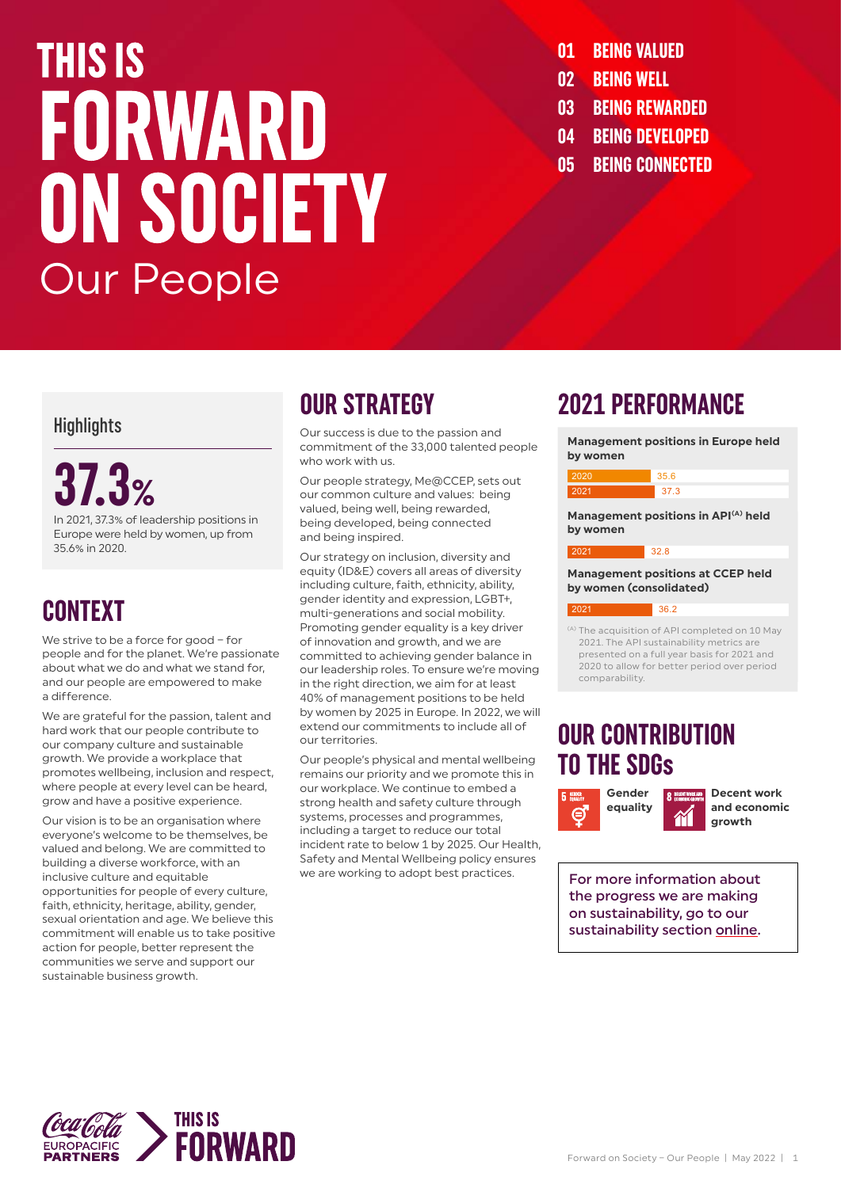### **THIS IS** FORWARD ON SOCIETY Our People

- **01 BEING VALUED**
- **02 BEING WELL**
- **03 BEING REWARDED**
- **04 BEING DEVELOPED**
- **05 BEING CONNECTED**

### **Highlights**

### **37.3%**

In 2021, 37.3% of leadership positions in Europe were held by women, up from 35.6% in 2020.

### **CONTEXT**

We strive to be a force for good - for people and for the planet. We're passionate about what we do and what we stand for, and our people are empowered to make a difference.

We are grateful for the passion, talent and hard work that our people contribute to our company culture and sustainable growth. We provide a workplace that promotes wellbeing, inclusion and respect, where people at every level can be heard, grow and have a positive experience.

Our vision is to be an organisation where everyone's welcome to be themselves, be valued and belong. We are committed to building a diverse workforce, with an inclusive culture and equitable opportunities for people of every culture, faith, ethnicity, heritage, ability, gender, sexual orientation and age. We believe this commitment will enable us to take positive action for people, better represent the communities we serve and support our sustainable business growth.

### **OUR STRATEGY**

Our success is due to the passion and commitment of the 33,000 talented people who work with us.

Our people strategy, Me@CCEP, sets out our common culture and values: being valued, being well, being rewarded, being developed, being connected and being inspired.

Our strategy on inclusion, diversity and equity (ID&E) covers all areas of diversity including culture, faith, ethnicity, ability, gender identity and expression, LGBT+, multi-generations and social mobility. Promoting gender equality is a key driver of innovation and growth, and we are committed to achieving gender balance in our leadership roles. To ensure we're moving in the right direction, we aim for at least 40% of management positions to be held by women by 2025 in Europe. In 2022, we will extend our commitments to include all of our territories.

Our people's physical and mental wellbeing remains our priority and we promote this in our workplace. We continue to embed a strong health and safety culture through systems, processes and programmes, including a target to reduce our total incident rate to below 1 by 2025. Our Health. Safety and Mental Wellbeing policy ensures we are working to adopt best practices.

### **2021 PERFORMANCE**



2021. The API sustainability metrics are presented on a full year basis for 2021 and 2020 to allow for better period over period comparability.

### **OUR CONTRIBUTION TO THE SDGs**



**Decent work and economic growth**

For more information about the progress we are making on sustainability, go to our sustainability section [online](https://www.cocacolaep.com/sustainability/this-is-forward/).

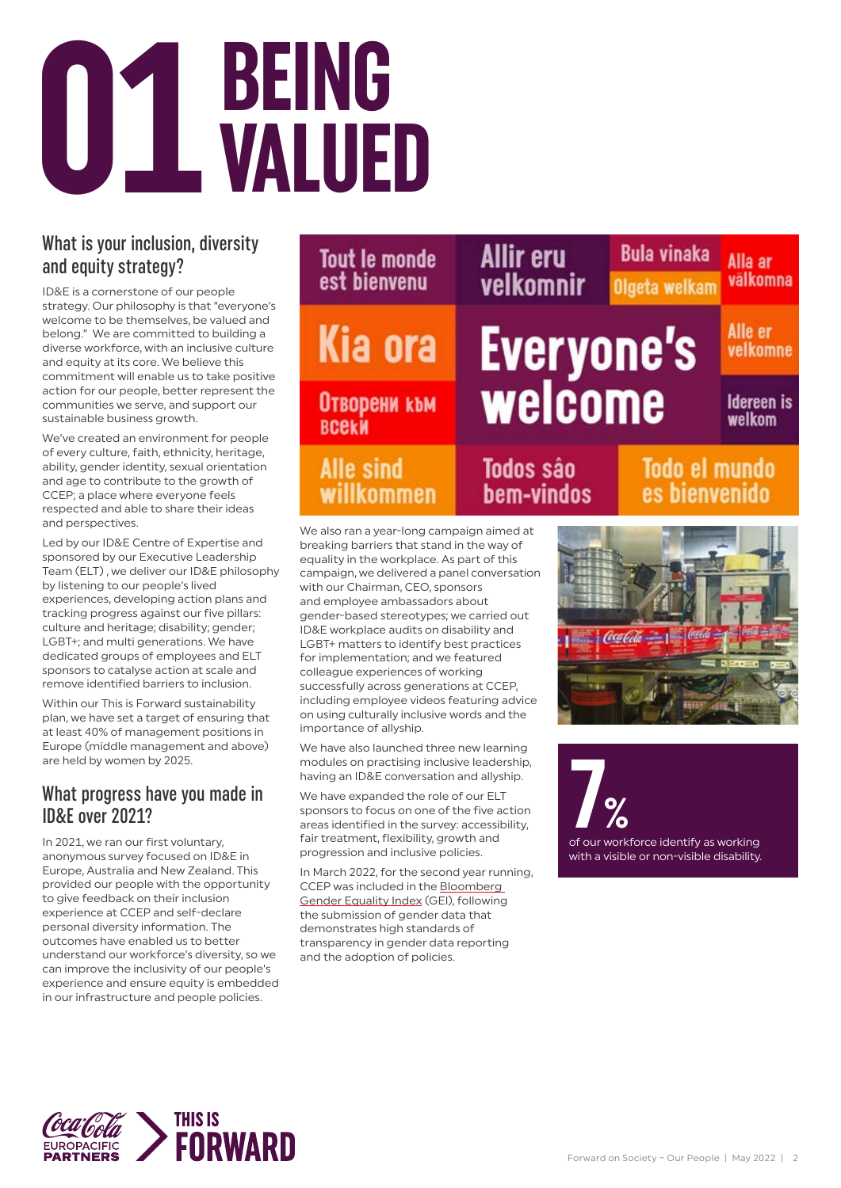

### What is your inclusion, diversity and equity strategy?

ID&E is a cornerstone of our people strategy. Our philosophy is that "everyone's welcome to be themselves, be valued and belong." We are committed to building a diverse workforce, with an inclusive culture and equity at its core. We believe this commitment will enable us to take positive action for our people, better represent the communities we serve, and support our sustainable business growth.

We've created an environment for people of every culture, faith, ethnicity, heritage, ability, gender identity, sexual orientation and age to contribute to the growth of CCEP; a place where everyone feels respected and able to share their ideas and perspectives.

Led by our ID&E Centre of Expertise and sponsored by our Executive Leadership Team (ELT) , we deliver our ID&E philosophy by listening to our people's lived experiences, developing action plans and tracking progress against our five pillars: culture and heritage; disability; gender; LGBT+; and multi generations. We have dedicated groups of employees and ELT sponsors to catalyse action at scale and remove identified barriers to inclusion.

Within our This is Forward sustainability plan, we have set a target of ensuring that at least 40% of management positions in Europe (middle management and above) are held by women by 2025.

### What progress have you made in ID&E over 2021?

In 2021, we ran our first voluntary, anonymous survey focused on ID&E in Europe, Australia and New Zealand. This provided our people with the opportunity to give feedback on their inclusion experience at CCEP and self-declare personal diversity information. The outcomes have enabled us to better understand our workforce's diversity, so we can improve the inclusivity of our people's experience and ensure equity is embedded in our infrastructure and people policies.



We also ran a year-long campaign aimed at breaking barriers that stand in the way of equality in the workplace. As part of this campaign, we delivered a panel conversation with our Chairman, CEO, sponsors and employee ambassadors about gender-based stereotypes; we carried out ID&E workplace audits on disability and LGBT+ matters to identify best practices for implementation; and we featured colleague experiences of working successfully across generations at CCEP, including employee videos featuring advice on using culturally inclusive words and the importance of allyship.

We have also launched three new learning modules on practising inclusive leadership, having an ID&E conversation and allyship.

We have expanded the role of our ELT sponsors to focus on one of the five action areas identified in the survey: accessibility, fair treatment, flexibility, growth and progression and inclusive policies.

In March 2022, for the second year running, CCEP was included in the [Bloomberg](https://www.bloomberg.com/gei/)  [Gender Equality Index](https://www.bloomberg.com/gei/) (GEI), following the submission of gender data that demonstrates high standards of transparency in gender data reporting and the adoption of policies.



**7%**<br>of our workforce identify as working with a visible or non-visible disability.

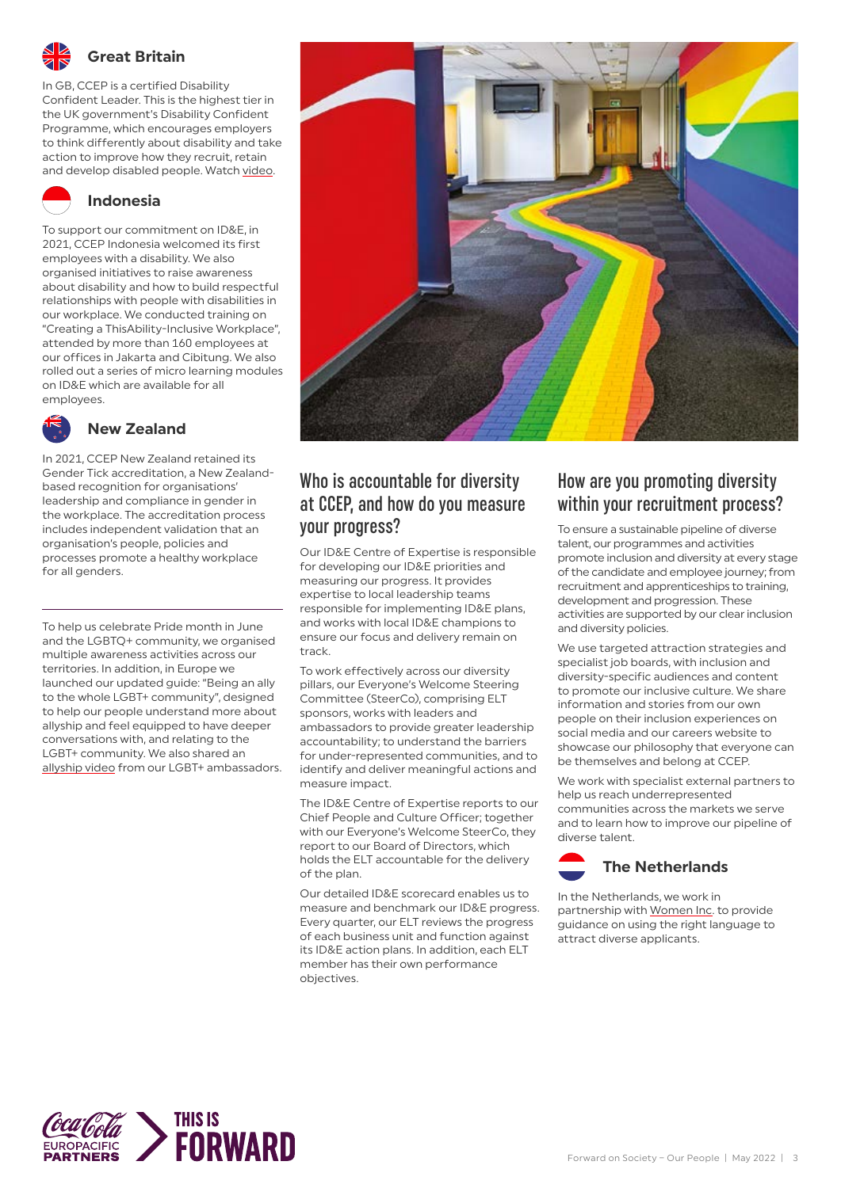

### **Great Britain**

In GB, CCEP is a certified Disability Confident Leader. This is the highest tier in the UK government's Disability Confident Programme, which encourages employers to think differently about disability and take action to improve how they recruit, retain and develop disabled people. Watch [video](https://www.youtube.com/watch?v=g2ncrcyDMGY).

### **Indonesia**

To support our commitment on ID&E, in 2021, CCEP Indonesia welcomed its first employees with a disability. We also organised initiatives to raise awareness about disability and how to build respectful relationships with people with disabilities in our workplace. We conducted training on "Creating a ThisAbility-Inclusive Workplace", attended by more than 160 employees at our offices in Jakarta and Cibitung. We also rolled out a series of micro learning modules on ID&E which are available for all employees.



### **New Zealand**

In 2021, CCEP New Zealand retained its Gender Tick accreditation, a New Zealandbased recognition for organisations' leadership and compliance in gender in the workplace. The accreditation process includes independent validation that an organisation's people, policies and processes promote a healthy workplace for all genders.

To help us celebrate Pride month in June and the LGBTQ+ community, we organised multiple awareness activities across our territories. In addition, in Europe we launched our updated guide: "Being an ally to the whole LGBT+ community", designed to help our people understand more about allyship and feel equipped to have deeper conversations with, and relating to the LGBT+ community. We also shared an [allyship video](https://vimeo.com/568803814/08b7841bee) from our LGBT+ ambassadors.



### Who is accountable for diversity at CCEP, and how do you measure your progress?

Our ID&E Centre of Expertise is responsible for developing our ID&E priorities and measuring our progress. It provides expertise to local leadership teams responsible for implementing ID&E plans, and works with local ID&E champions to ensure our focus and delivery remain on track.

To work effectively across our diversity pillars, our Everyone's Welcome Steering Committee (SteerCo), comprising ELT sponsors, works with leaders and ambassadors to provide greater leadership accountability; to understand the barriers for under-represented communities, and to identify and deliver meaningful actions and measure impact.

The ID&E Centre of Expertise reports to our Chief People and Culture Officer; together with our Everyone's Welcome SteerCo, they report to our Board of Directors, which holds the ELT accountable for the delivery of the plan.

Our detailed ID&E scorecard enables us to measure and benchmark our ID&E progress. Every quarter, our ELT reviews the progress of each business unit and function against its ID&E action plans. In addition, each ELT member has their own performance objectives.

### How are you promoting diversity within your recruitment process?

To ensure a sustainable pipeline of diverse talent, our programmes and activities promote inclusion and diversity at every stage of the candidate and employee journey; from recruitment and apprenticeships to training, development and progression. These activities are supported by our clear inclusion and diversity policies.

We use targeted attraction strategies and specialist job boards, with inclusion and diversity-specific audiences and content to promote our inclusive culture. We share information and stories from our own people on their inclusion experiences on social media and our careers website to showcase our philosophy that everyone can be themselves and belong at CCEP.

We work with specialist external partners to help us reach underrepresented communities across the markets we serve and to learn how to improve our pipeline of diverse talent.



In the Netherlands, we work in partnership with [Women Inc](https://www.womeninc.nl/). to provide guidance on using the right language to attract diverse applicants.

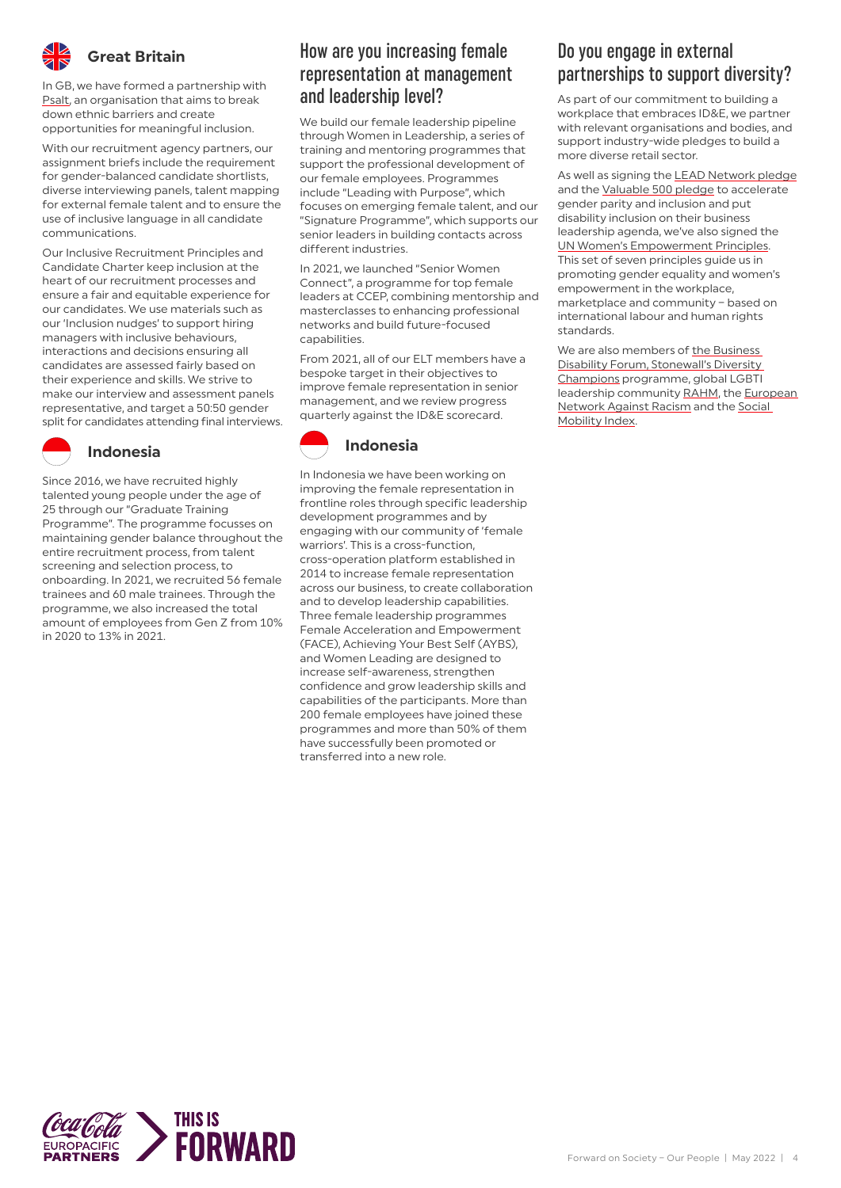

### **Great Britain**

In GB, we have formed a partnership with [Psalt](https://www.psalt.co/), an organisation that aims to break down ethnic barriers and create opportunities for meaningful inclusion.

With our recruitment agency partners, our assignment briefs include the requirement for gender-balanced candidate shortlists, diverse interviewing panels, talent mapping for external female talent and to ensure the use of inclusive language in all candidate communications.

Our Inclusive Recruitment Principles and Candidate Charter keep inclusion at the heart of our recruitment processes and ensure a fair and equitable experience for our candidates. We use materials such as our 'Inclusion nudges' to support hiring managers with inclusive behaviours, interactions and decisions ensuring all candidates are assessed fairly based on their experience and skills. We strive to make our interview and assessment panels representative, and target a 50:50 gender split for candidates attending final interviews.

### **Indonesia**

Since 2016, we have recruited highly talented young people under the age of 25 through our "Graduate Training Programme". The programme focusses on maintaining gender balance throughout the entire recruitment process, from talent screening and selection process, to onboarding. In 2021, we recruited 56 female trainees and 60 male trainees. Through the programme, we also increased the total amount of employees from Gen Z from 10% in 2020 to 13% in 2021.

### How are you increasing female representation at management and leadership level?

We build our female leadership pipeline through Women in Leadership, a series of training and mentoring programmes that support the professional development of our female employees. Programmes include "Leading with Purpose", which focuses on emerging female talent, and our "Signature Programme", which supports our senior leaders in building contacts across different industries.

In 2021, we launched "Senior Women Connect", a programme for top female leaders at CCEP, combining mentorship and masterclasses to enhancing professional networks and build future-focused capabilities.

From 2021, all of our ELT members have a bespoke target in their objectives to improve female representation in senior management, and we review progress quarterly against the ID&E scorecard.

### **Indonesia**

In Indonesia we have been working on improving the female representation in frontline roles through specific leadership development programmes and by engaging with our community of 'female warriors'. This is a cross-function, cross-operation platform established in 2014 to increase female representation across our business, to create collaboration and to develop leadership capabilities. Three female leadership programmes Female Acceleration and Empowerment (FACE), Achieving Your Best Self (AYBS), and Women Leading are designed to increase self-awareness, strengthen confidence and grow leadership skills and capabilities of the participants. More than 200 female employees have joined these programmes and more than 50% of them have successfully been promoted or transferred into a new role.

### Do you engage in external partnerships to support diversity?

As part of our commitment to building a workplace that embraces ID&E, we partner with relevant organisations and bodies, and support industry-wide pledges to build a more diverse retail sector.

As well as signing the **[LEAD Network pledge](https://www.lead-eu.net/ceo-pledge/)** and the [Valuable 500 pledge](https://www.thevaluable500.com/) to accelerate gender parity and inclusion and put disability inclusion on their business leadership agenda, we've also signed the [UN Women's Empowerment Principles](https://www.weps.org/). This set of seven principles guide us in promoting gender equality and women's empowerment in the workplace, marketplace and community – based on international labour and human rights standards.

We are also members of the Business [Disability Forum,](https://businessdisabilityforum.org.uk/) [Stonewall's Diversity](https://www.stonewall.org.uk/diversity-champions-programme)  [Champions](https://www.stonewall.org.uk/diversity-champions-programme) programme, global LGBTI leadership community [RAHM,](https://rahm.ceo/) the European **[Network Against Racism](https://www.enar-eu.org/) and the Social** [Mobility Index.](https://www.socialmobility.org.uk/index/)

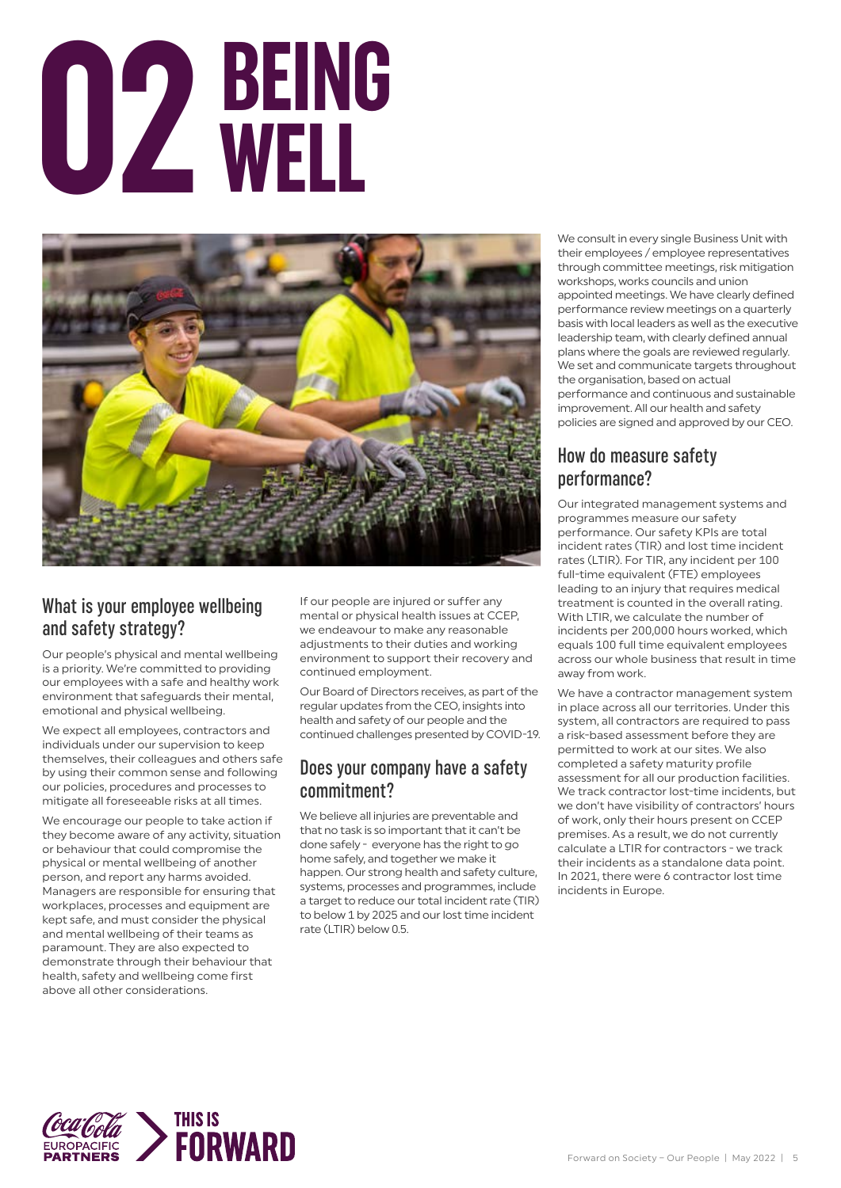# **BEING 02 WELL**



### What is your employee wellbeing and safety strategy?

Our people's physical and mental wellbeing is a priority. We're committed to providing our employees with a safe and healthy work environment that safeguards their mental, emotional and physical wellbeing.

We expect all employees, contractors and individuals under our supervision to keep themselves, their colleagues and others safe by using their common sense and following our policies, procedures and processes to mitigate all foreseeable risks at all times.

We encourage our people to take action if they become aware of any activity, situation or behaviour that could compromise the physical or mental wellbeing of another person, and report any harms avoided. Managers are responsible for ensuring that workplaces, processes and equipment are kept safe, and must consider the physical and mental wellbeing of their teams as paramount. They are also expected to demonstrate through their behaviour that health, safety and wellbeing come first above all other considerations.

If our people are injured or suffer any mental or physical health issues at CCEP, we endeavour to make any reasonable adjustments to their duties and working environment to support their recovery and continued employment.

Our Board of Directors receives, as part of the regular updates from the CEO, insights into health and safety of our people and the continued challenges presented by COVID-19.

### Does your company have a safety commitment?

We believe all injuries are preventable and that no task is so important that it can't be done safely - everyone has the right to go home safely, and together we make it happen. Our strong health and safety culture, systems, processes and programmes, include a target to reduce our total incident rate (TIR) to below 1 by 2025 and our lost time incident rate  $(1 \text{TIR})$  below  $0.5$ 

We consult in every single Business Unit with their employees / employee representatives through committee meetings, risk mitigation workshops, works councils and union appointed meetings. We have clearly defined performance review meetings on a quarterly basis with local leaders as well as the executive leadership team, with clearly defined annual plans where the goals are reviewed regularly. We set and communicate targets throughout the organisation, based on actual performance and continuous and sustainable improvement. All our health and safety policies are signed and approved by our CEO.

### How do measure safety performance?

Our integrated management systems and programmes measure our safety performance. Our safety KPIs are total incident rates (TIR) and lost time incident rates (LTIR). For TIR, any incident per 100 full-time equivalent (FTE) employees leading to an injury that requires medical treatment is counted in the overall rating. With LTIR, we calculate the number of incidents per 200,000 hours worked, which equals 100 full time equivalent employees across our whole business that result in time away from work.

We have a contractor management system in place across all our territories. Under this system, all contractors are required to pass a risk-based assessment before they are permitted to work at our sites. We also completed a safety maturity profile assessment for all our production facilities. We track contractor lost-time incidents, but we don't have visibility of contractors' hours of work, only their hours present on CCEP premises. As a result, we do not currently calculate a LTIR for contractors - we track their incidents as a standalone data point. In 2021, there were 6 contractor lost time incidents in Europe.

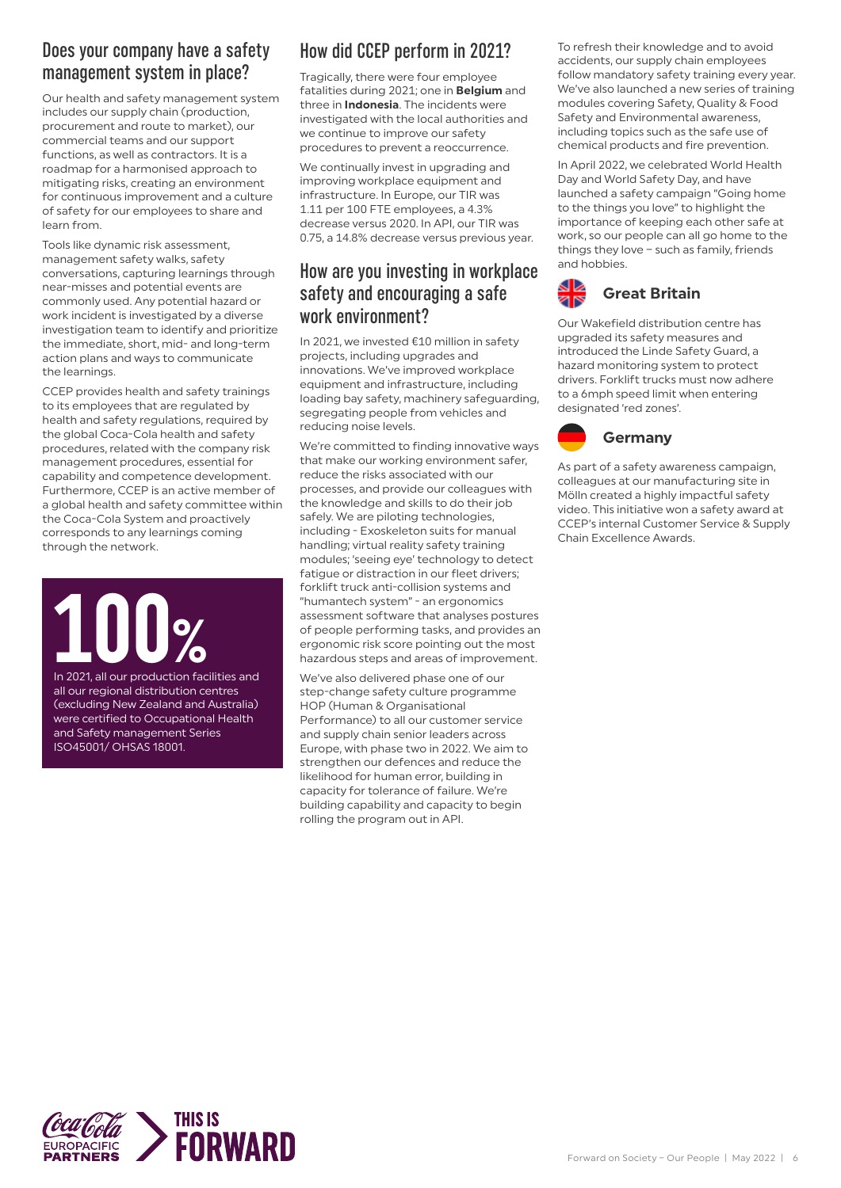### Does your company have a safety management system in place?

Our health and safety management system includes our supply chain (production, procurement and route to market), our commercial teams and our support functions, as well as contractors. It is a roadmap for a harmonised approach to mitigating risks, creating an environment for continuous improvement and a culture of safety for our employees to share and learn from.

Tools like dynamic risk assessment, management safety walks, safety conversations, capturing learnings through near-misses and potential events are commonly used. Any potential hazard or work incident is investigated by a diverse investigation team to identify and prioritize the immediate, short, mid- and long-term action plans and ways to communicate the learnings.

CCEP provides health and safety trainings to its employees that are regulated by health and safety regulations, required by the global Coca-Cola health and safety procedures, related with the company risk management procedures, essential for capability and competence development. Furthermore, CCEP is an active member of a global health and safety committee within the Coca-Cola System and proactively corresponds to any learnings coming through the network.

### In 2021, all our production facilities and

all our regional distribution centres (excluding New Zealand and Australia) were certified to Occupational Health and Safety management Series ISO45001/ OHSAS 18001.

### How did CCEP perform in 2021?

Tragically, there were four employee fatalities during 2021; one in **Belgium** and three in **Indonesia**. The incidents were investigated with the local authorities and we continue to improve our safety procedures to prevent a reoccurrence.

We continually invest in upgrading and improving workplace equipment and infrastructure. In Europe, our TIR was 1.11 per 100 FTE employees, a 4.3% decrease versus 2020. In API, our TIR was 0.75, a 14.8% decrease versus previous year.

### How are you investing in workplace safety and encouraging a safe work environment?

In 2021, we invested €10 million in safety projects, including upgrades and innovations. We've improved workplace equipment and infrastructure, including loading bay safety, machinery safeguarding, segregating people from vehicles and reducing noise levels.

We're committed to finding innovative ways that make our working environment safer, reduce the risks associated with our processes, and provide our colleagues with the knowledge and skills to do their job safely. We are piloting technologies, including - Exoskeleton suits for manual handling; virtual reality safety training modules; 'seeing eye' technology to detect fatigue or distraction in our fleet drivers; forklift truck anti-collision systems and "humantech system" - an ergonomics assessment software that analyses postures of people performing tasks, and provides an ergonomic risk score pointing out the most hazardous steps and areas of improvement.

We've also delivered phase one of our step-change safety culture programme HOP (Human & Organisational Performance) to all our customer service and supply chain senior leaders across Europe, with phase two in 2022. We aim to strengthen our defences and reduce the likelihood for human error, building in capacity for tolerance of failure. We're building capability and capacity to begin rolling the program out in API.

To refresh their knowledge and to avoid accidents, our supply chain employees follow mandatory safety training every year. We've also launched a new series of training modules covering Safety, Quality & Food Safety and Environmental awareness, including topics such as the safe use of chemical products and fire prevention.

In April 2022, we celebrated World Health Day and World Safety Day, and have launched a safety campaign "Going home to the things you love" to highlight the importance of keeping each other safe at work, so our people can all go home to the things they love – such as family, friends and hobbies.

### **Great Britain** 2Ñ

Our Wakefield distribution centre has upgraded its safety measures and introduced the Linde Safety Guard, a hazard monitoring system to protect drivers. Forklift trucks must now adhere to a 6mph speed limit when entering designated 'red zones'.



As part of a safety awareness campaign, colleagues at our manufacturing site in Mölln created a highly impactful safety video. This initiative won a safety award at CCEP's internal Customer Service & Supply Chain Excellence Awards.

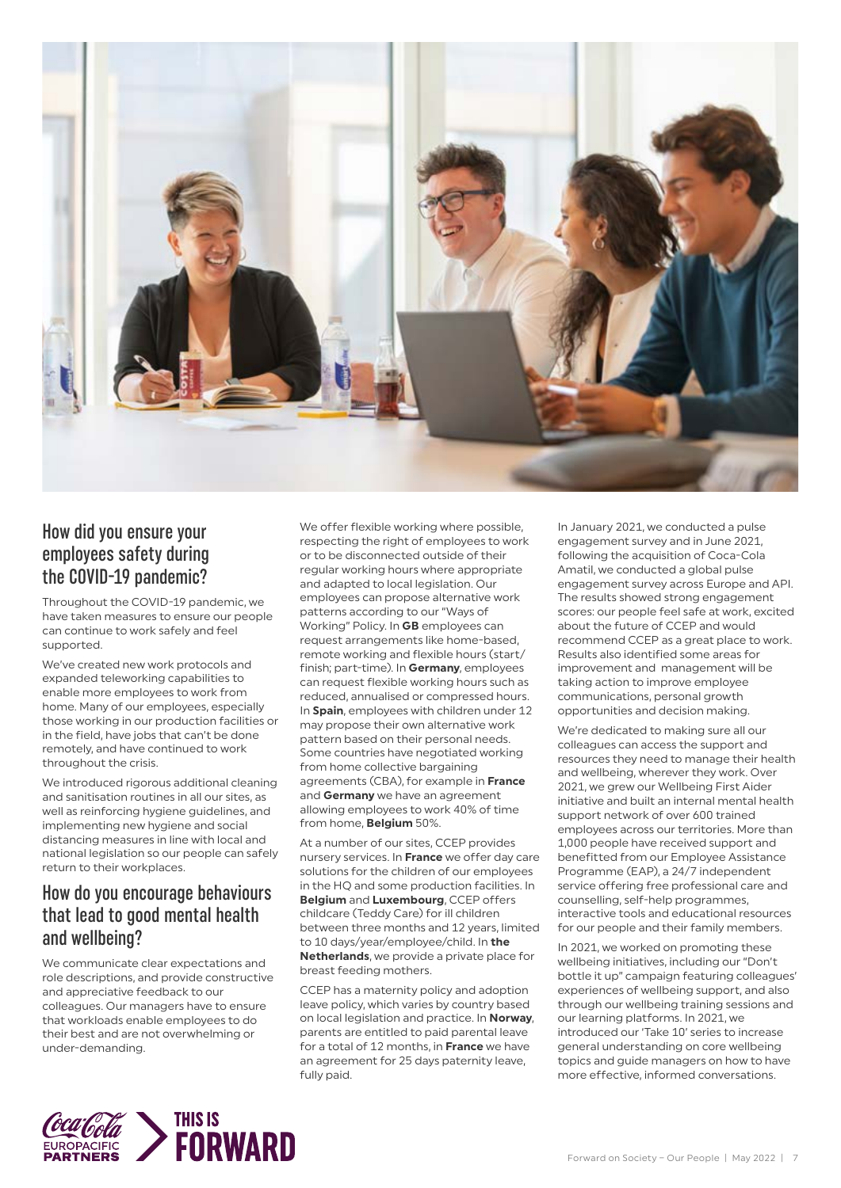

### How did you ensure your employees safety during the COVID-19 pandemic?

Throughout the COVID-19 pandemic, we have taken measures to ensure our people can continue to work safely and feel supported.

We've created new work protocols and expanded teleworking capabilities to enable more employees to work from home. Many of our employees, especially those working in our production facilities or in the field, have jobs that can't be done remotely, and have continued to work throughout the crisis.

We introduced rigorous additional cleaning and sanitisation routines in all our sites, as well as reinforcing hygiene guidelines, and implementing new hygiene and social distancing measures in line with local and national legislation so our people can safely return to their workplaces.

### How do you encourage behaviours that lead to good mental health and wellbeing?

We communicate clear expectations and role descriptions, and provide constructive and appreciative feedback to our colleagues. Our managers have to ensure that workloads enable employees to do their best and are not overwhelming or under-demanding.

We offer flexible working where possible, respecting the right of employees to work or to be disconnected outside of their regular working hours where appropriate and adapted to local legislation. Our employees can propose alternative work patterns according to our "Ways of Working" Policy. In **GB** employees can request arrangements like home-based, remote working and flexible hours (start/ finish; part-time). In **Germany**, employees can request flexible working hours such as reduced, annualised or compressed hours. In **Spain**, employees with children under 12 may propose their own alternative work pattern based on their personal needs. Some countries have negotiated working from home collective bargaining agreements (CBA), for example in **France** and **Germany** we have an agreement allowing employees to work 40% of time from home, **Belgium** 50%.

At a number of our sites, CCEP provides nursery services. In **France** we offer day care solutions for the children of our employees in the HQ and some production facilities. In **Belgium** and **Luxembourg**, CCEP offers childcare (Teddy Care) for ill children between three months and 12 years, limited to 10 days/year/employee/child. In **the Netherlands**, we provide a private place for breast feeding mothers.

CCEP has a maternity policy and adoption leave policy, which varies by country based on local legislation and practice. In **Norway**, parents are entitled to paid parental leave for a total of 12 months, in **France** we have an agreement for 25 days paternity leave, fully paid.

In January 2021, we conducted a pulse engagement survey and in June 2021, following the acquisition of Coca-Cola Amatil, we conducted a global pulse engagement survey across Europe and API. The results showed strong engagement scores: our people feel safe at work, excited about the future of CCEP and would recommend CCEP as a great place to work. Results also identified some areas for improvement and management will be taking action to improve employee communications, personal growth opportunities and decision making.

We're dedicated to making sure all our colleagues can access the support and resources they need to manage their health and wellbeing, wherever they work. Over 2021, we grew our Wellbeing First Aider initiative and built an internal mental health support network of over 600 trained employees across our territories. More than 1,000 people have received support and benefitted from our Employee Assistance Programme (EAP), a 24/7 independent service offering free professional care and counselling, self-help programmes, interactive tools and educational resources for our people and their family members.

In 2021, we worked on promoting these wellbeing initiatives, including our "Don't bottle it up" campaign featuring colleagues' experiences of wellbeing support, and also through our wellbeing training sessions and our learning platforms. In 2021, we introduced our 'Take 10' series to increase general understanding on core wellbeing topics and guide managers on how to have more effective, informed conversations.

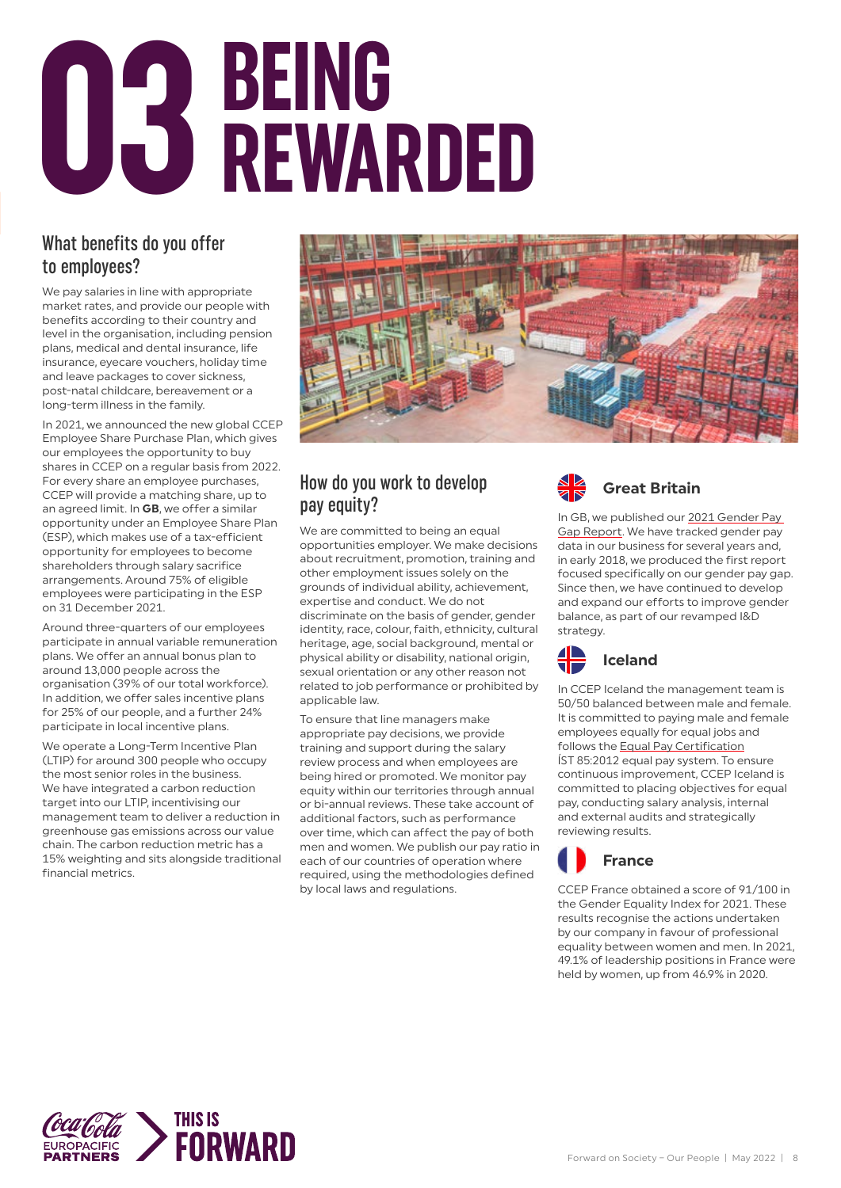# **BEING 03 REWARDED**

### What benefits do you offer to employees?

We pay salaries in line with appropriate market rates, and provide our people with benefits according to their country and level in the organisation, including pension plans, medical and dental insurance, life insurance, eyecare vouchers, holiday time and leave packages to cover sickness, post-natal childcare, bereavement or a long-term illness in the family.

In 2021, we announced the new global CCEP Employee Share Purchase Plan, which gives our employees the opportunity to buy shares in CCEP on a regular basis from 2022. For every share an employee purchases, CCEP will provide a matching share, up to an agreed limit. In **GB**, we offer a similar opportunity under an Employee Share Plan (ESP), which makes use of a tax-efficient opportunity for employees to become shareholders through salary sacrifice arrangements. Around 75% of eligible employees were participating in the ESP on 31 December 2021.

Around three-quarters of our employees participate in annual variable remuneration plans. We offer an annual bonus plan to around 13,000 people across the organisation (39% of our total workforce). In addition, we offer sales incentive plans for 25% of our people, and a further 24% participate in local incentive plans.

We operate a Long-Term Incentive Plan (LTIP) for around 300 people who occupy the most senior roles in the business. We have integrated a carbon reduction target into our LTIP, incentivising our management team to deliver a reduction in greenhouse gas emissions across our value chain. The carbon reduction metric has a 15% weighting and sits alongside traditional financial metrics.



### How do you work to develop pay equity?

We are committed to being an equal opportunities employer. We make decisions about recruitment, promotion, training and other employment issues solely on the grounds of individual ability, achievement, expertise and conduct. We do not discriminate on the basis of gender, gender identity, race, colour, faith, ethnicity, cultural heritage, age, social background, mental or physical ability or disability, national origin, sexual orientation or any other reason not related to job performance or prohibited by applicable law.

To ensure that line managers make appropriate pay decisions, we provide training and support during the salary review process and when employees are being hired or promoted. We monitor pay equity within our territories through annual or bi-annual reviews. These take account of additional factors, such as performance over time, which can affect the pay of both men and women. We publish our pay ratio in each of our countries of operation where required, using the methodologies defined by local laws and regulations.



In GB, we published our 2021 Gender Pay [Gap Report.](https://www.cocacolaep.com/assets/GB/ab39f7e508/Gender_Pay_Gap_Report_2021_FINAL.pdf) We have tracked gender pay data in our business for several years and, in early 2018, we produced the first report focused specifically on our gender pay gap. Since then, we have continued to develop and expand our efforts to improve gender balance, as part of our revamped I&D strategy.



In CCEP Iceland the management team is 50/50 balanced between male and female. It is committed to paying male and female employees equally for equal jobs and follows the **[Equal Pay Certification](https://www.equalsalary.org/equal-salary-certification/)** ÍST 85:2012 equal pay system. To ensure continuous improvement, CCEP Iceland is committed to placing objectives for equal pay, conducting salary analysis, internal and external audits and strategically reviewing results.



CCEP France obtained a score of 91/100 in the Gender Equality Index for 2021. These results recognise the actions undertaken by our company in favour of professional equality between women and men. In 2021, 49.1% of leadership positions in France were held by women, up from 46.9% in 2020.

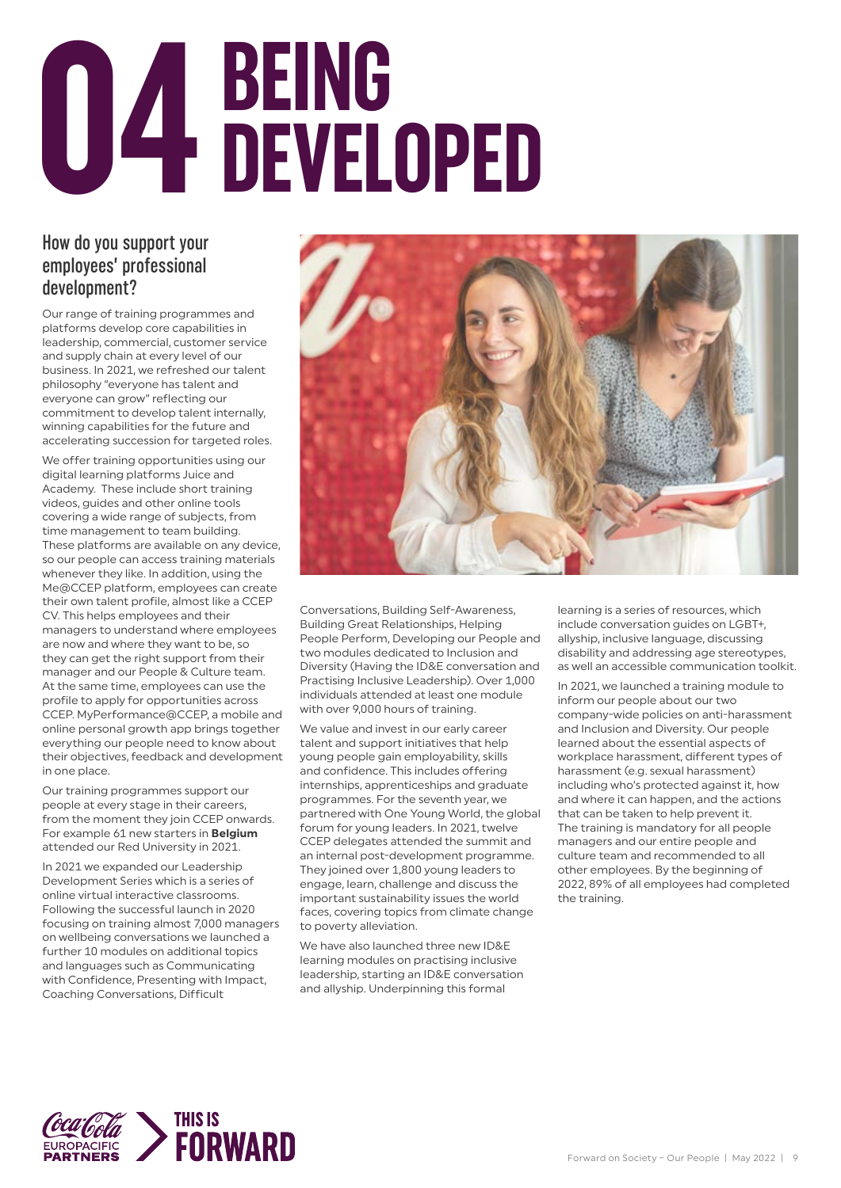# **BEING 04 DEVELOPED**

### How do you support your employees' professional development?

Our range of training programmes and platforms develop core capabilities in leadership, commercial, customer service and supply chain at every level of our business. In 2021, we refreshed our talent philosophy "everyone has talent and everyone can grow" reflecting our commitment to develop talent internally, winning capabilities for the future and accelerating succession for targeted roles.

We offer training opportunities using our digital learning platforms Juice and Academy. These include short training videos, guides and other online tools covering a wide range of subjects, from time management to team building. These platforms are available on any device, so our people can access training materials whenever they like. In addition, using the Me@CCEP platform, employees can create their own talent profile, almost like a CCEP CV. This helps employees and their managers to understand where employees are now and where they want to be, so they can get the right support from their manager and our People & Culture team. At the same time, employees can use the profile to apply for opportunities across CCEP. MyPerformance@CCEP, a mobile and online personal growth app brings together everything our people need to know about their objectives, feedback and development in one place.

Our training programmes support our people at every stage in their careers, from the moment they join CCEP onwards. For example 61 new starters in **Belgium** attended our Red University in 2021.

In 2021 we expanded our Leadership Development Series which is a series of online virtual interactive classrooms. Following the successful launch in 2020 focusing on training almost 7,000 managers on wellbeing conversations we launched a further 10 modules on additional topics and languages such as Communicating with Confidence, Presenting with Impact, Coaching Conversations, Difficult



Conversations, Building Self-Awareness, Building Great Relationships, Helping People Perform, Developing our People and two modules dedicated to Inclusion and Diversity (Having the ID&E conversation and Practising Inclusive Leadership). Over 1,000 individuals attended at least one module with over 9,000 hours of training.

We value and invest in our early career talent and support initiatives that help young people gain employability, skills and confidence. This includes offering internships, apprenticeships and graduate programmes. For the seventh year, we partnered with One Young World, the global forum for young leaders. In 2021, twelve CCEP delegates attended the summit and an internal post-development programme. They joined over 1,800 young leaders to engage, learn, challenge and discuss the important sustainability issues the world faces, covering topics from climate change to poverty alleviation.

We have also launched three new ID&E learning modules on practising inclusive leadership, starting an ID&E conversation and allyship. Underpinning this formal

learning is a series of resources, which include conversation guides on LGBT+, allyship, inclusive language, discussing disability and addressing age stereotypes, as well an accessible communication toolkit.

In 2021, we launched a training module to inform our people about our two company-wide policies on anti-harassment and Inclusion and Diversity. Our people learned about the essential aspects of workplace harassment, different types of harassment (e.g. sexual harassment) including who's protected against it, how and where it can happen, and the actions that can be taken to help prevent it. The training is mandatory for all people managers and our entire people and culture team and recommended to all other employees. By the beginning of 2022, 89% of all employees had completed the training.